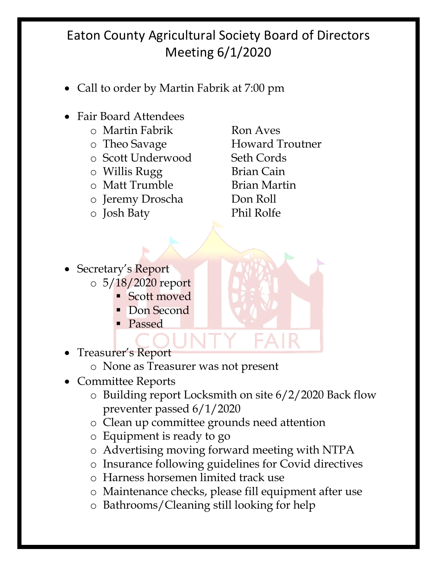- Call to order by Martin Fabrik at 7:00 pm
- Fair Board Attendees
	- o Martin Fabrik Ron Aves
	-
	- o Scott Underwood Seth Cords
	- o Willis Rugg Brian Cain
	- o Matt Trumble Brian Martin
	- o Jeremy Droscha Don Roll
	- o Josh Baty Phil Rolfe

o Theo Savage **Howard Troutner** 

- Secretary's Report  $\circ$  5/18/2020 report
	- Scott moved
	- Don Second
	- Passed
- Treasurer's Report
	- o None as Treasurer was not present
- Committee Reports
	- o Building report Locksmith on site 6/2/2020 Back flow preventer passed 6/1/2020
	- o Clean up committee grounds need attention
	- o Equipment is ready to go
	- o Advertising moving forward meeting with NTPA
	- o Insurance following guidelines for Covid directives
	- o Harness horsemen limited track use
	- o Maintenance checks, please fill equipment after use
	- o Bathrooms/Cleaning still looking for help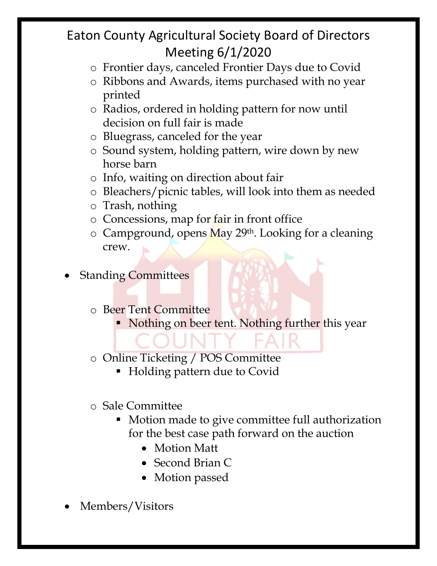- o Frontier days, canceled Frontier Days due to Covid
- o Ribbons and Awards, items purchased with no year printed
- o Radios, ordered in holding pattern for now until decision on full fair is made
- o Bluegrass, canceled for the year
- o Sound system, holding pattern, wire down by new horse barn
- o Info, waiting on direction about fair
- o Bleachers/picnic tables, will look into them as needed
- o Trash, nothing
- o Concessions, map for fair in front office
- $\circ$  Campground, opens May 29<sup>th</sup>. Looking for a cleaning crew.
- **Standing Committees** 
	- o Beer Tent Committee
		- Nothing on beer tent. Nothing further this year
	- o Online Ticketing / POS Committee
		- Holding pattern due to Covid
	- o Sale Committee
		- Motion made to give committee full authorization for the best case path forward on the auction
			- Motion Matt
			- Second Brian C
			- Motion passed
- Members/Visitors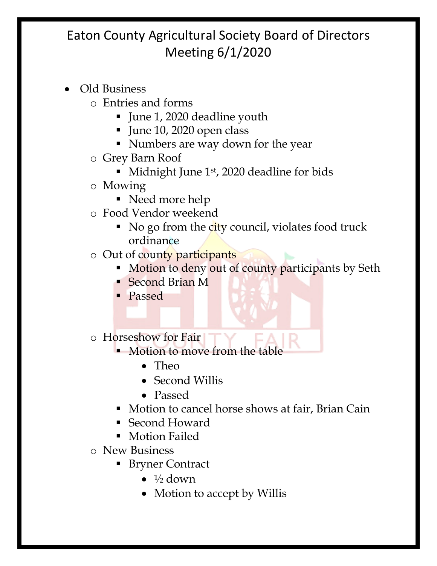- Old Business
	- o Entries and forms
		- § June 1, 2020 deadline youth
		- June 10, 2020 open class
		- § Numbers are way down for the year
	- o Grey Barn Roof
		- § Midnight June 1st, 2020 deadline for bids
	- o Mowing
		- Need more help
	- o Food Vendor weekend
		- No go from the city council, violates food truck ordinance
	- o Out of county participants
		- Motion to deny out of county participants by Seth
		- Second Brian M
		- § Passed
	- o Horseshow for Fair
		- § Motion to move from the table
			- Theo
			- Second Willis
			- Passed
		- Motion to cancel horse shows at fair, Brian Cain
		- Second Howard
		- Motion Failed
	- o New Business
		- Bryner Contract
			- $\bullet$   $\frac{1}{2}$  down
			- Motion to accept by Willis